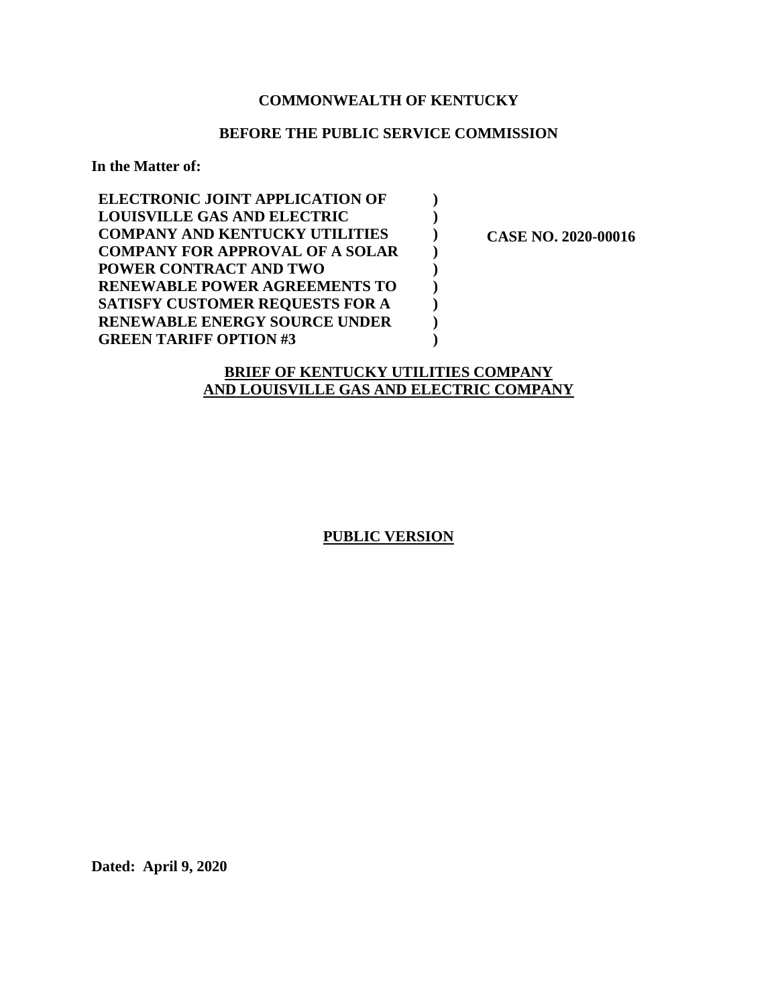# **COMMONWEALTH OF KENTUCKY**

### **BEFORE THE PUBLIC SERVICE COMMISSION**

**) ) ) ) ) ) ) ) )** 

**In the Matter of:** 

| <b>ELECTRONIC JOINT APPLICATION OF</b> |
|----------------------------------------|
| <b>LOUISVILLE GAS AND ELECTRIC</b>     |
| <b>COMPANY AND KENTUCKY UTILITIES</b>  |
| <b>COMPANY FOR APPROVAL OF A SOLAR</b> |
| POWER CONTRACT AND TWO                 |
| <b>RENEWABLE POWER AGREEMENTS TO</b>   |
| <b>SATISFY CUSTOMER REQUESTS FOR A</b> |
| <b>RENEWABLE ENERGY SOURCE UNDER</b>   |
| <b>GREEN TARIFF OPTION #3</b>          |

 **CASE NO. 2020-00016** 

# **BRIEF OF KENTUCKY UTILITIES COMPANY AND LOUISVILLE GAS AND ELECTRIC COMPANY**

**PUBLIC VERSION** 

**Dated: April 9, 2020**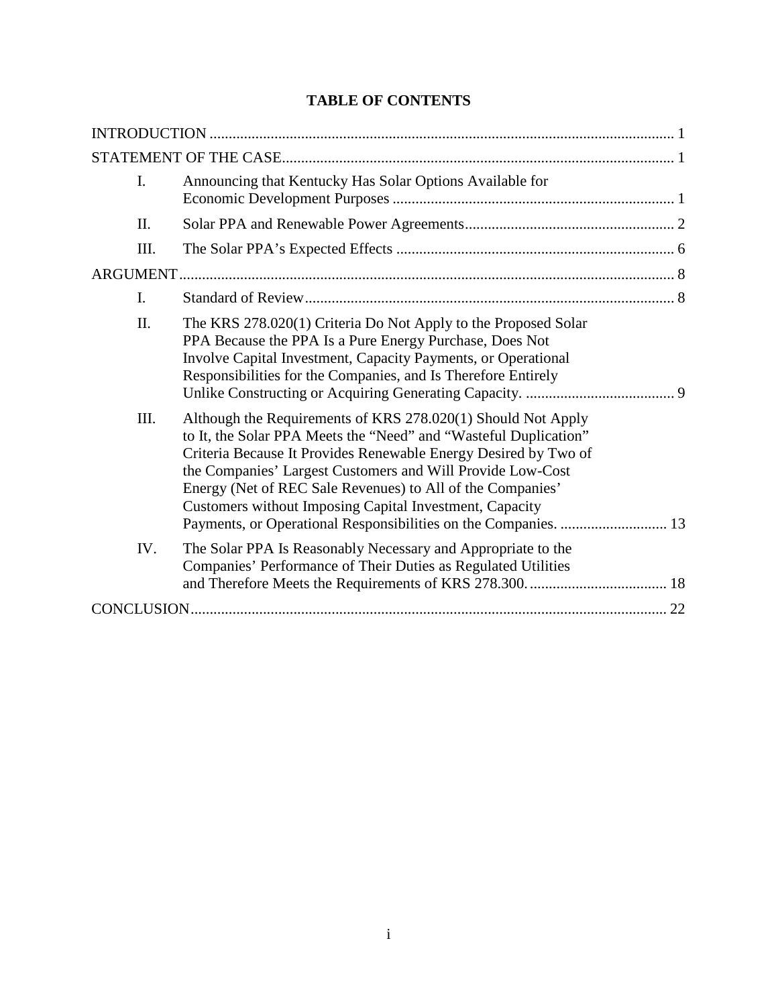# **TABLE OF CONTENTS**

| I.   | Announcing that Kentucky Has Solar Options Available for                                                                                                                                                                                                                                                                                                                                                                                                      |  |
|------|---------------------------------------------------------------------------------------------------------------------------------------------------------------------------------------------------------------------------------------------------------------------------------------------------------------------------------------------------------------------------------------------------------------------------------------------------------------|--|
| II.  |                                                                                                                                                                                                                                                                                                                                                                                                                                                               |  |
| III. |                                                                                                                                                                                                                                                                                                                                                                                                                                                               |  |
|      |                                                                                                                                                                                                                                                                                                                                                                                                                                                               |  |
| I.   |                                                                                                                                                                                                                                                                                                                                                                                                                                                               |  |
| II.  | The KRS 278.020(1) Criteria Do Not Apply to the Proposed Solar<br>PPA Because the PPA Is a Pure Energy Purchase, Does Not<br>Involve Capital Investment, Capacity Payments, or Operational<br>Responsibilities for the Companies, and Is Therefore Entirely                                                                                                                                                                                                   |  |
| III. | Although the Requirements of KRS 278.020(1) Should Not Apply<br>to It, the Solar PPA Meets the "Need" and "Wasteful Duplication"<br>Criteria Because It Provides Renewable Energy Desired by Two of<br>the Companies' Largest Customers and Will Provide Low-Cost<br>Energy (Net of REC Sale Revenues) to All of the Companies'<br>Customers without Imposing Capital Investment, Capacity<br>Payments, or Operational Responsibilities on the Companies.  13 |  |
| IV.  | The Solar PPA Is Reasonably Necessary and Appropriate to the<br>Companies' Performance of Their Duties as Regulated Utilities                                                                                                                                                                                                                                                                                                                                 |  |
|      |                                                                                                                                                                                                                                                                                                                                                                                                                                                               |  |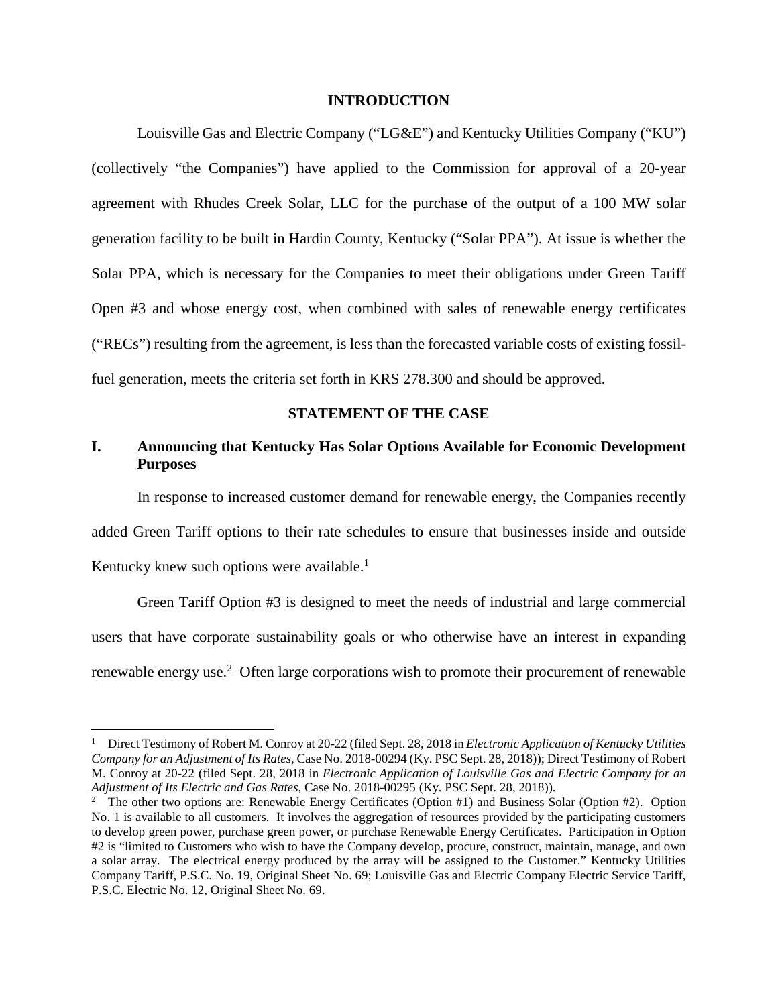#### **INTRODUCTION**

Louisville Gas and Electric Company ("LG&E") and Kentucky Utilities Company ("KU") (collectively "the Companies") have applied to the Commission for approval of a 20-year agreement with Rhudes Creek Solar, LLC for the purchase of the output of a 100 MW solar generation facility to be built in Hardin County, Kentucky ("Solar PPA"). At issue is whether the Solar PPA, which is necessary for the Companies to meet their obligations under Green Tariff Open #3 and whose energy cost, when combined with sales of renewable energy certificates ("RECs") resulting from the agreement, is less than the forecasted variable costs of existing fossilfuel generation, meets the criteria set forth in KRS 278.300 and should be approved.

### **STATEMENT OF THE CASE**

### **I. Announcing that Kentucky Has Solar Options Available for Economic Development Purposes**

In response to increased customer demand for renewable energy, the Companies recently added Green Tariff options to their rate schedules to ensure that businesses inside and outside Kentucky knew such options were available. $<sup>1</sup>$ </sup>

Green Tariff Option #3 is designed to meet the needs of industrial and large commercial users that have corporate sustainability goals or who otherwise have an interest in expanding renewable energy use.<sup>2</sup> Often large corporations wish to promote their procurement of renewable

<sup>&</sup>lt;sup>1</sup> Direct Testimony of Robert M. Conroy at 20-22 (filed Sept. 28, 2018 in *Electronic Application of Kentucky Utilities Company for an Adjustment of Its Rates*, Case No. 2018-00294 (Ky. PSC Sept. 28, 2018)); Direct Testimony of Robert M. Conroy at 20-22 (filed Sept. 28, 2018 in *Electronic Application of Louisville Gas and Electric Company for an Adjustment of Its Electric and Gas Rates*, Case No. 2018-00295 (Ky. PSC Sept. 28, 2018)).

<sup>&</sup>lt;sup>2</sup> The other two options are: Renewable Energy Certificates (Option #1) and Business Solar (Option #2). Option No. 1 is available to all customers. It involves the aggregation of resources provided by the participating customers to develop green power, purchase green power, or purchase Renewable Energy Certificates. Participation in Option #2 is "limited to Customers who wish to have the Company develop, procure, construct, maintain, manage, and own a solar array. The electrical energy produced by the array will be assigned to the Customer." Kentucky Utilities Company Tariff, P.S.C. No. 19, Original Sheet No. 69; Louisville Gas and Electric Company Electric Service Tariff, P.S.C. Electric No. 12, Original Sheet No. 69.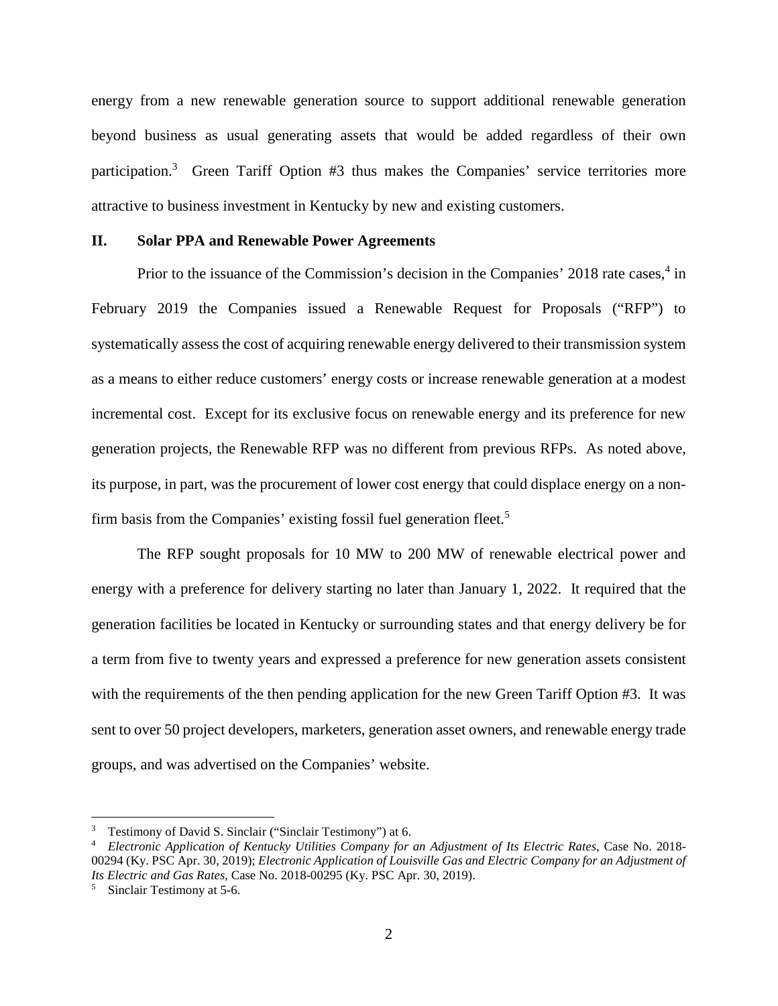energy from a new renewable generation source to support additional renewable generation beyond business as usual generating assets that would be added regardless of their own participation.<sup>3</sup> Green Tariff Option #3 thus makes the Companies' service territories more attractive to business investment in Kentucky by new and existing customers.

#### **II. Solar PPA and Renewable Power Agreements**

Prior to the issuance of the Commission's decision in the Companies' 2018 rate cases,<sup>4</sup> in February 2019 the Companies issued a Renewable Request for Proposals ("RFP") to systematically assess the cost of acquiring renewable energy delivered to their transmission system as a means to either reduce customers' energy costs or increase renewable generation at a modest incremental cost. Except for its exclusive focus on renewable energy and its preference for new generation projects, the Renewable RFP was no different from previous RFPs. As noted above, its purpose, in part, was the procurement of lower cost energy that could displace energy on a nonfirm basis from the Companies' existing fossil fuel generation fleet.<sup>5</sup>

The RFP sought proposals for 10 MW to 200 MW of renewable electrical power and energy with a preference for delivery starting no later than January 1, 2022. It required that the generation facilities be located in Kentucky or surrounding states and that energy delivery be for a term from five to twenty years and expressed a preference for new generation assets consistent with the requirements of the then pending application for the new Green Tariff Option #3. It was sent to over 50 project developers, marketers, generation asset owners, and renewable energy trade groups, and was advertised on the Companies' website.

<sup>&</sup>lt;sup>3</sup> Testimony of David S. Sinclair ("Sinclair Testimony") at 6.

<sup>4</sup> *Electronic Application of Kentucky Utilities Company for an Adjustment of Its Electric Rates*, Case No. 2018- 00294 (Ky. PSC Apr. 30, 2019); *Electronic Application of Louisville Gas and Electric Company for an Adjustment of Its Electric and Gas Rates*, Case No. 2018-00295 (Ky. PSC Apr. 30, 2019).

<sup>5</sup> Sinclair Testimony at 5-6.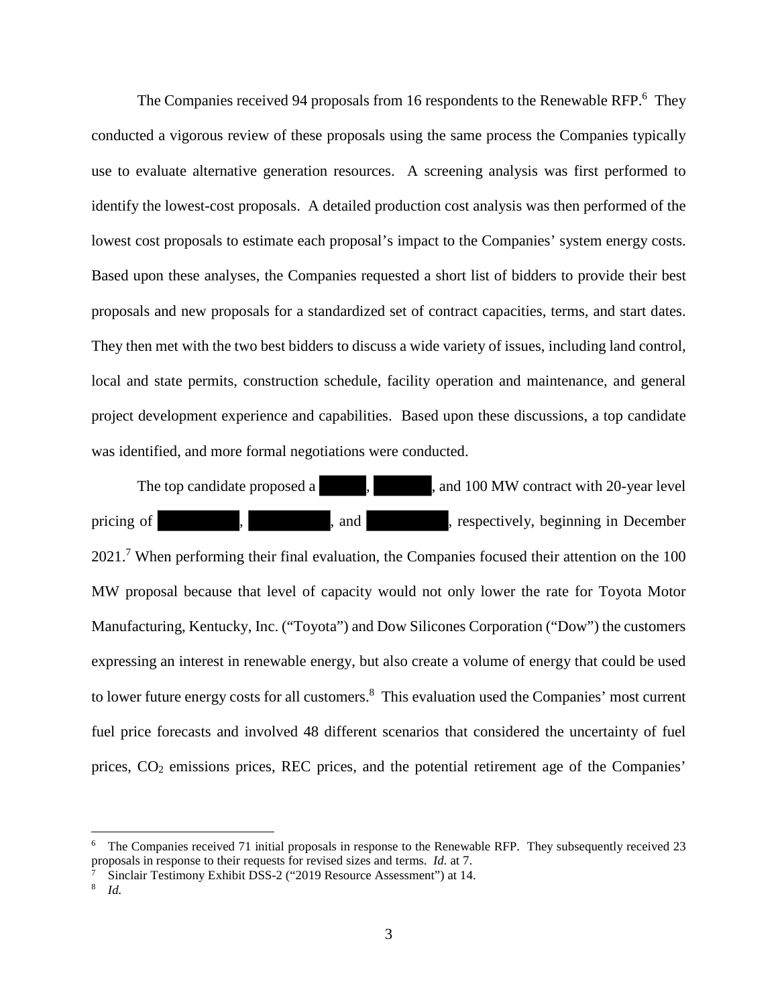The Companies received 94 proposals from 16 respondents to the Renewable RFP.<sup>6</sup> They conducted a vigorous review of these proposals using the same process the Companies typically use to evaluate alternative generation resources. A screening analysis was first performed to identify the lowest-cost proposals. A detailed production cost analysis was then performed of the lowest cost proposals to estimate each proposal's impact to the Companies' system energy costs. Based upon these analyses, the Companies requested a short list of bidders to provide their best proposals and new proposals for a standardized set of contract capacities, terms, and start dates. They then met with the two best bidders to discuss a wide variety of issues, including land control, local and state permits, construction schedule, facility operation and maintenance, and general project development experience and capabilities. Based upon these discussions, a top candidate was identified, and more formal negotiations were conducted.

The top candidate proposed a , , and 100 MW contract with 20-year level pricing of , , and , and , respectively, beginning in December 2021.<sup>7</sup> When performing their final evaluation, the Companies focused their attention on the 100 MW proposal because that level of capacity would not only lower the rate for Toyota Motor Manufacturing, Kentucky, Inc. ("Toyota") and Dow Silicones Corporation ("Dow") the customers expressing an interest in renewable energy, but also create a volume of energy that could be used to lower future energy costs for all customers.<sup>8</sup> This evaluation used the Companies' most current fuel price forecasts and involved 48 different scenarios that considered the uncertainty of fuel prices, CO2 emissions prices, REC prices, and the potential retirement age of the Companies'

<sup>6</sup> The Companies received 71 initial proposals in response to the Renewable RFP. They subsequently received 23 proposals in response to their requests for revised sizes and terms. *Id.* at 7.

<sup>7</sup> Sinclair Testimony Exhibit DSS-2 ("2019 Resource Assessment") at 14.

<sup>8</sup> *Id.*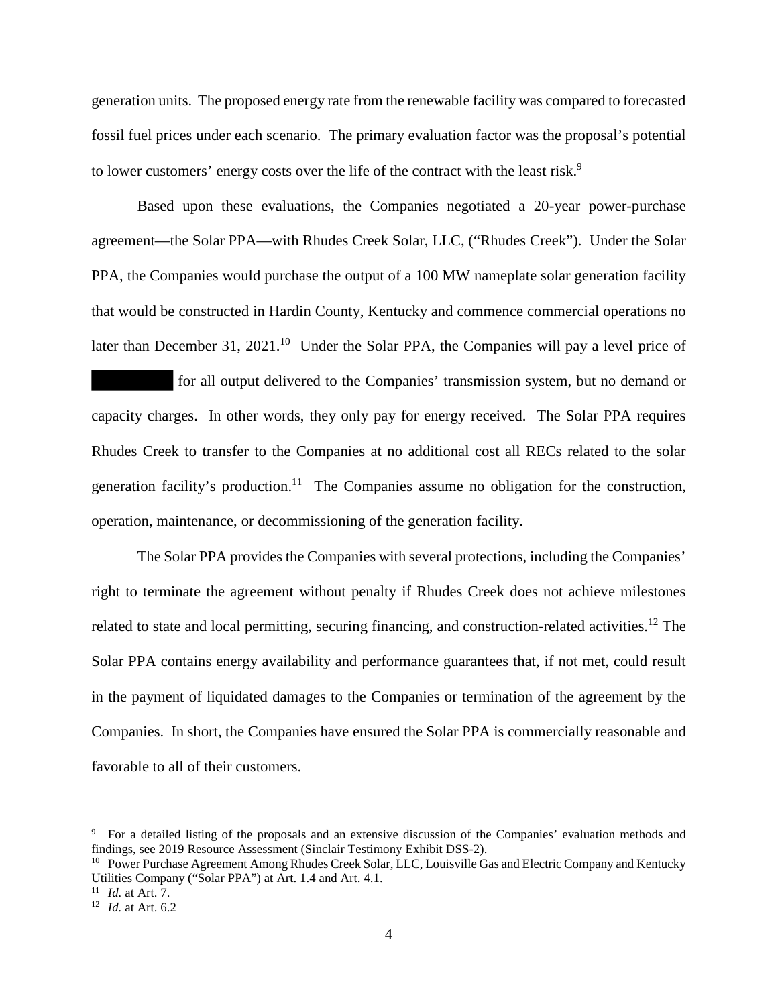generation units. The proposed energy rate from the renewable facility was compared to forecasted fossil fuel prices under each scenario. The primary evaluation factor was the proposal's potential to lower customers' energy costs over the life of the contract with the least risk.<sup>9</sup>

Based upon these evaluations, the Companies negotiated a 20-year power-purchase agreement—the Solar PPA—with Rhudes Creek Solar, LLC, ("Rhudes Creek"). Under the Solar PPA, the Companies would purchase the output of a 100 MW nameplate solar generation facility that would be constructed in Hardin County, Kentucky and commence commercial operations no later than December 31, 2021.<sup>10</sup> Under the Solar PPA, the Companies will pay a level price of

 for all output delivered to the Companies' transmission system, but no demand or capacity charges. In other words, they only pay for energy received. The Solar PPA requires Rhudes Creek to transfer to the Companies at no additional cost all RECs related to the solar generation facility's production.<sup>11</sup> The Companies assume no obligation for the construction, operation, maintenance, or decommissioning of the generation facility.

The Solar PPA provides the Companies with several protections, including the Companies' right to terminate the agreement without penalty if Rhudes Creek does not achieve milestones related to state and local permitting, securing financing, and construction-related activities.<sup>12</sup> The Solar PPA contains energy availability and performance guarantees that, if not met, could result in the payment of liquidated damages to the Companies or termination of the agreement by the Companies. In short, the Companies have ensured the Solar PPA is commercially reasonable and favorable to all of their customers.

<sup>&</sup>lt;sup>9</sup> For a detailed listing of the proposals and an extensive discussion of the Companies' evaluation methods and findings, see 2019 Resource Assessment (Sinclair Testimony Exhibit DSS-2).

<sup>&</sup>lt;sup>10</sup> Power Purchase Agreement Among Rhudes Creek Solar, LLC, Louisville Gas and Electric Company and Kentucky Utilities Company ("Solar PPA") at Art. 1.4 and Art. 4.1.

<sup>11</sup> *Id.* at Art. 7.

<sup>12</sup> *Id.* at Art. 6.2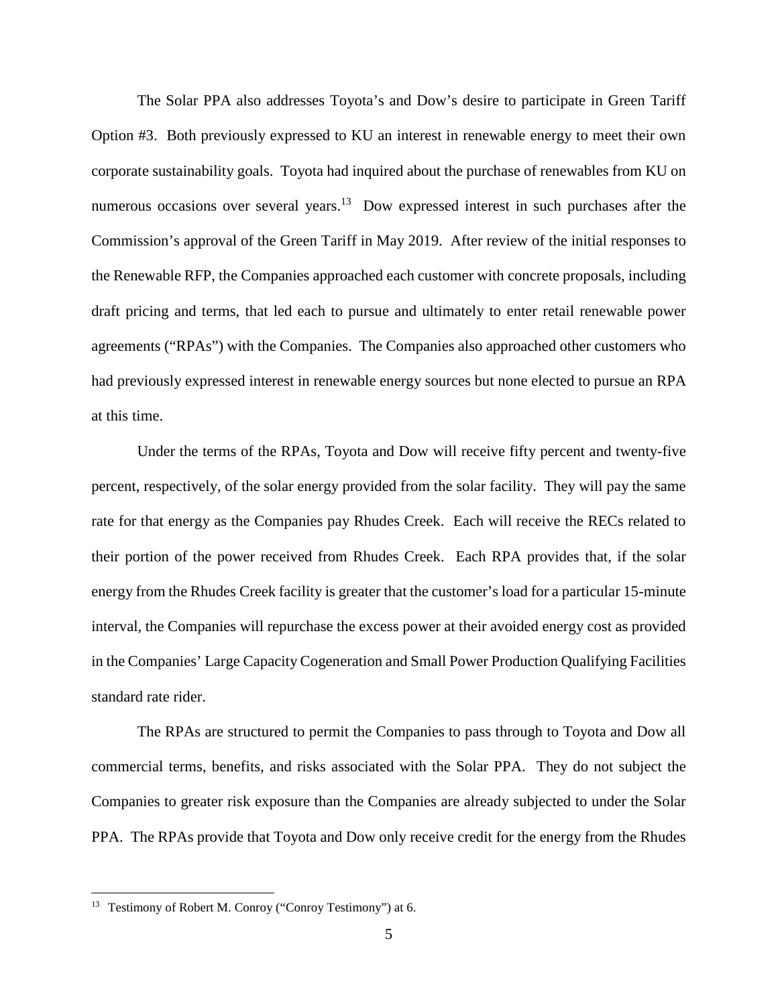The Solar PPA also addresses Toyota's and Dow's desire to participate in Green Tariff Option #3. Both previously expressed to KU an interest in renewable energy to meet their own corporate sustainability goals. Toyota had inquired about the purchase of renewables from KU on numerous occasions over several years.<sup>13</sup> Dow expressed interest in such purchases after the Commission's approval of the Green Tariff in May 2019. After review of the initial responses to the Renewable RFP, the Companies approached each customer with concrete proposals, including draft pricing and terms, that led each to pursue and ultimately to enter retail renewable power agreements ("RPAs") with the Companies. The Companies also approached other customers who had previously expressed interest in renewable energy sources but none elected to pursue an RPA at this time.

Under the terms of the RPAs, Toyota and Dow will receive fifty percent and twenty-five percent, respectively, of the solar energy provided from the solar facility. They will pay the same rate for that energy as the Companies pay Rhudes Creek. Each will receive the RECs related to their portion of the power received from Rhudes Creek. Each RPA provides that, if the solar energy from the Rhudes Creek facility is greater that the customer's load for a particular 15-minute interval, the Companies will repurchase the excess power at their avoided energy cost as provided in the Companies' Large Capacity Cogeneration and Small Power Production Qualifying Facilities standard rate rider.

The RPAs are structured to permit the Companies to pass through to Toyota and Dow all commercial terms, benefits, and risks associated with the Solar PPA. They do not subject the Companies to greater risk exposure than the Companies are already subjected to under the Solar PPA. The RPAs provide that Toyota and Dow only receive credit for the energy from the Rhudes

<sup>13</sup> Testimony of Robert M. Conroy ("Conroy Testimony") at 6.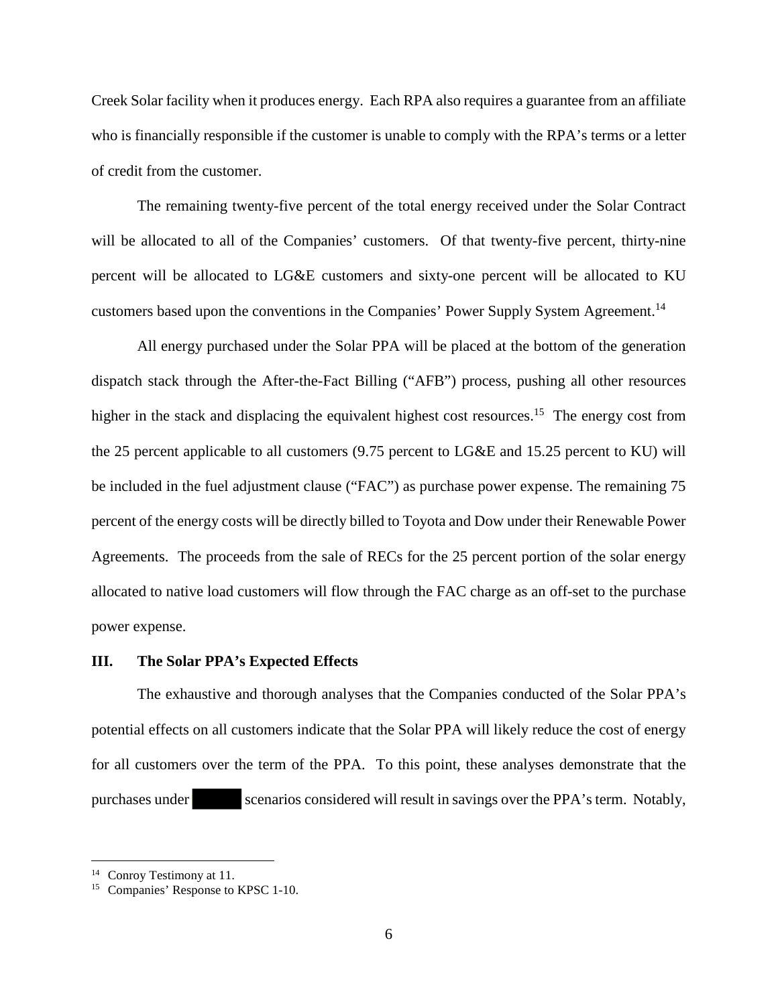Creek Solar facility when it produces energy. Each RPA also requires a guarantee from an affiliate who is financially responsible if the customer is unable to comply with the RPA's terms or a letter of credit from the customer.

The remaining twenty-five percent of the total energy received under the Solar Contract will be allocated to all of the Companies' customers. Of that twenty-five percent, thirty-nine percent will be allocated to LG&E customers and sixty-one percent will be allocated to KU customers based upon the conventions in the Companies' Power Supply System Agreement.<sup>14</sup>

All energy purchased under the Solar PPA will be placed at the bottom of the generation dispatch stack through the After-the-Fact Billing ("AFB") process, pushing all other resources higher in the stack and displacing the equivalent highest cost resources.<sup>15</sup> The energy cost from the 25 percent applicable to all customers (9.75 percent to LG&E and 15.25 percent to KU) will be included in the fuel adjustment clause ("FAC") as purchase power expense. The remaining 75 percent of the energy costs will be directly billed to Toyota and Dow under their Renewable Power Agreements. The proceeds from the sale of RECs for the 25 percent portion of the solar energy allocated to native load customers will flow through the FAC charge as an off-set to the purchase power expense.

#### **III. The Solar PPA's Expected Effects**

The exhaustive and thorough analyses that the Companies conducted of the Solar PPA's potential effects on all customers indicate that the Solar PPA will likely reduce the cost of energy for all customers over the term of the PPA. To this point, these analyses demonstrate that the purchases under scenarios considered will result in savings over the PPA's term. Notably,

<sup>&</sup>lt;sup>14</sup> Conroy Testimony at 11.

<sup>15</sup> Companies' Response to KPSC 1-10.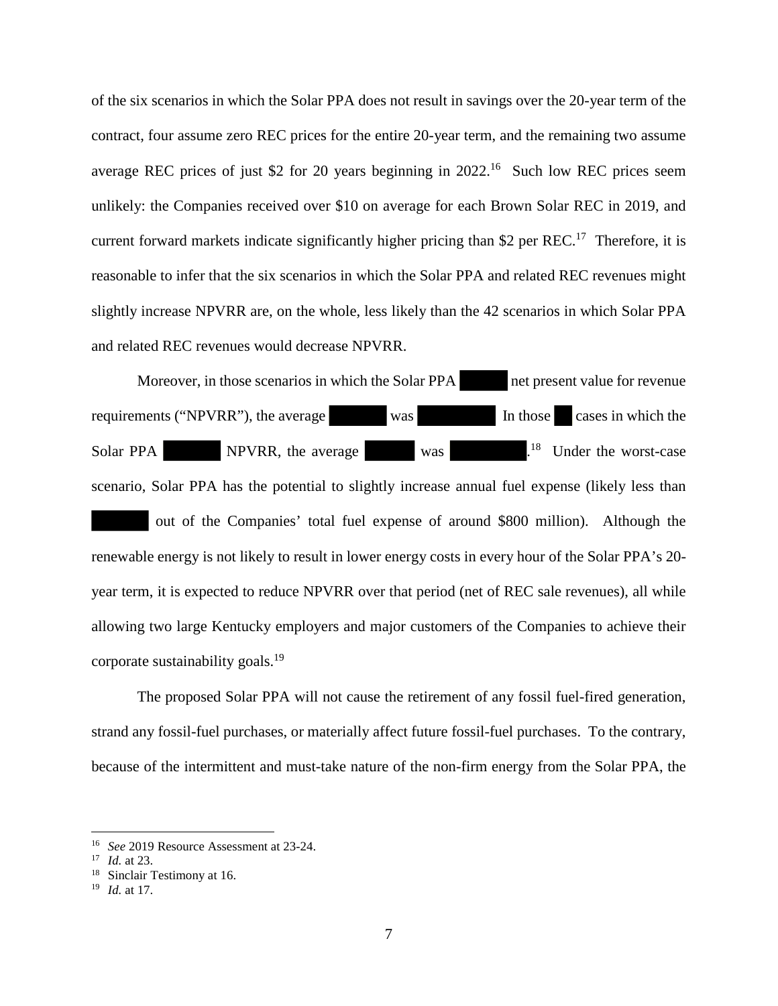of the six scenarios in which the Solar PPA does not result in savings over the 20-year term of the contract, four assume zero REC prices for the entire 20-year term, and the remaining two assume average REC prices of just \$2 for 20 years beginning in 2022.<sup>16</sup> Such low REC prices seem unlikely: the Companies received over \$10 on average for each Brown Solar REC in 2019, and current forward markets indicate significantly higher pricing than \$2 per  $REC^{17}$  Therefore, it is reasonable to infer that the six scenarios in which the Solar PPA and related REC revenues might slightly increase NPVRR are, on the whole, less likely than the 42 scenarios in which Solar PPA and related REC revenues would decrease NPVRR.

Moreover, in those scenarios in which the Solar PPA net present value for revenue requirements ("NPVRR"), the average was In those cases in which the Solar PPA NPVRR, the average was .<sup>18</sup> Under the worst-case scenario, Solar PPA has the potential to slightly increase annual fuel expense (likely less than out of the Companies' total fuel expense of around \$800 million). Although the renewable energy is not likely to result in lower energy costs in every hour of the Solar PPA's 20 year term, it is expected to reduce NPVRR over that period (net of REC sale revenues), all while allowing two large Kentucky employers and major customers of the Companies to achieve their corporate sustainability goals.<sup>19</sup>

The proposed Solar PPA will not cause the retirement of any fossil fuel-fired generation, strand any fossil-fuel purchases, or materially affect future fossil-fuel purchases. To the contrary, because of the intermittent and must-take nature of the non-firm energy from the Solar PPA, the

<sup>16</sup> *See* 2019 Resource Assessment at 23-24.

<sup>17</sup> *Id.* at 23.

<sup>&</sup>lt;sup>18</sup> Sinclair Testimony at 16.

<sup>19</sup> *Id.* at 17.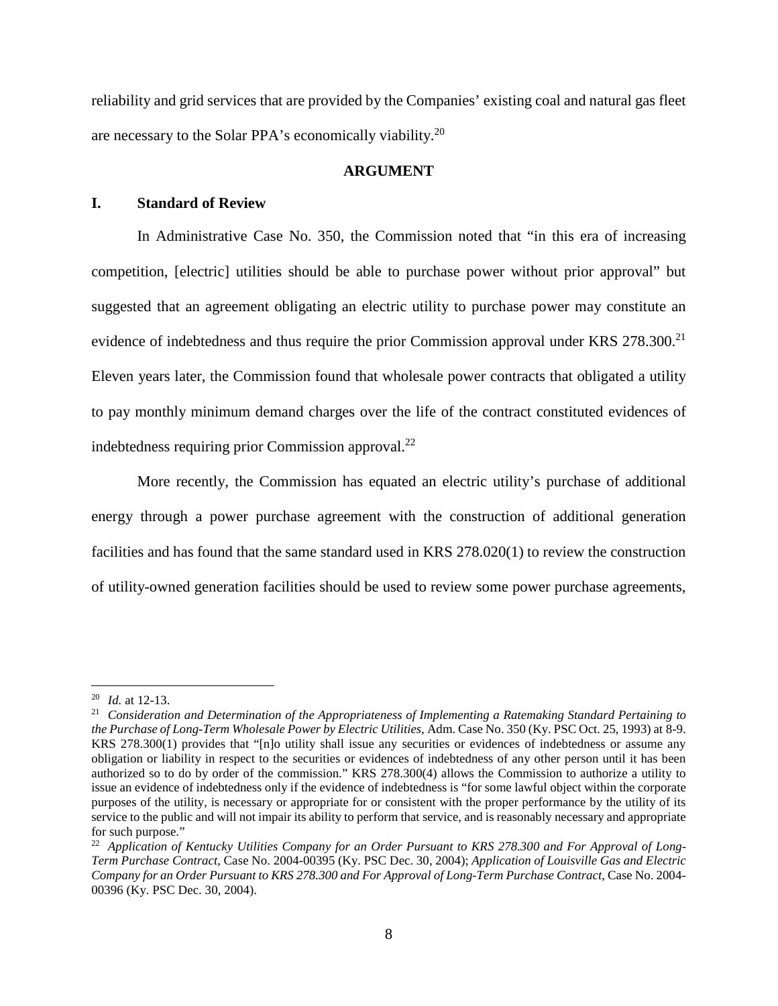reliability and grid services that are provided by the Companies' existing coal and natural gas fleet are necessary to the Solar PPA's economically viability.<sup>20</sup>

### **ARGUMENT**

### **I. Standard of Review**

In Administrative Case No. 350, the Commission noted that "in this era of increasing competition, [electric] utilities should be able to purchase power without prior approval" but suggested that an agreement obligating an electric utility to purchase power may constitute an evidence of indebtedness and thus require the prior Commission approval under KRS 278.300.<sup>21</sup> Eleven years later, the Commission found that wholesale power contracts that obligated a utility to pay monthly minimum demand charges over the life of the contract constituted evidences of indebtedness requiring prior Commission approval. $^{22}$ 

More recently, the Commission has equated an electric utility's purchase of additional energy through a power purchase agreement with the construction of additional generation facilities and has found that the same standard used in KRS 278.020(1) to review the construction of utility-owned generation facilities should be used to review some power purchase agreements,

<sup>20</sup> *Id.* at 12-13.

<sup>21</sup> *Consideration and Determination of the Appropriateness of Implementing a Ratemaking Standard Pertaining to the Purchase of Long-Term Wholesale Power by Electric Utilities*, Adm. Case No. 350 (Ky. PSC Oct. 25, 1993) at 8-9. KRS 278.300(1) provides that "[n]o utility shall issue any securities or evidences of indebtedness or assume any obligation or liability in respect to the securities or evidences of indebtedness of any other person until it has been authorized so to do by order of the commission." KRS 278.300(4) allows the Commission to authorize a utility to issue an evidence of indebtedness only if the evidence of indebtedness is "for some lawful object within the corporate purposes of the utility, is necessary or appropriate for or consistent with the proper performance by the utility of its service to the public and will not impair its ability to perform that service, and is reasonably necessary and appropriate for such purpose."

<sup>22</sup> *Application of Kentucky Utilities Company for an Order Pursuant to KRS 278.300 and For Approval of Long-Term Purchase Contract*, Case No. 2004-00395 (Ky. PSC Dec. 30, 2004); *Application of Louisville Gas and Electric Company for an Order Pursuant to KRS 278.300 and For Approval of Long-Term Purchase Contract*, Case No. 2004- 00396 (Ky. PSC Dec. 30, 2004).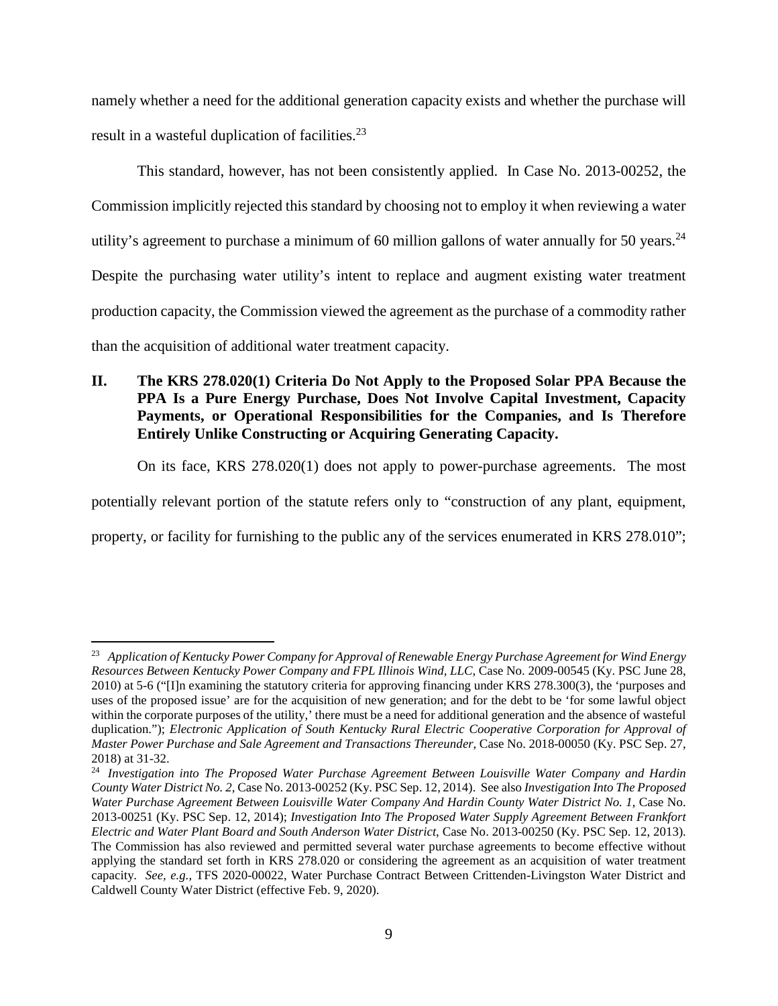namely whether a need for the additional generation capacity exists and whether the purchase will result in a wasteful duplication of facilities.<sup>23</sup>

This standard, however, has not been consistently applied. In Case No. 2013-00252, the Commission implicitly rejected this standard by choosing not to employ it when reviewing a water utility's agreement to purchase a minimum of 60 million gallons of water annually for 50 years.<sup>24</sup> Despite the purchasing water utility's intent to replace and augment existing water treatment production capacity, the Commission viewed the agreement as the purchase of a commodity rather than the acquisition of additional water treatment capacity.

# **II. The KRS 278.020(1) Criteria Do Not Apply to the Proposed Solar PPA Because the PPA Is a Pure Energy Purchase, Does Not Involve Capital Investment, Capacity Payments, or Operational Responsibilities for the Companies, and Is Therefore Entirely Unlike Constructing or Acquiring Generating Capacity.**

On its face, KRS 278.020(1) does not apply to power-purchase agreements. The most

potentially relevant portion of the statute refers only to "construction of any plant, equipment,

property, or facility for furnishing to the public any of the services enumerated in KRS 278.010";

<sup>23</sup> *Application of Kentucky Power Company for Approval of Renewable Energy Purchase Agreement for Wind Energy Resources Between Kentucky Power Company and FPL Illinois Wind, LLC*, Case No. 2009-00545 (Ky. PSC June 28, 2010) at 5-6 ("[I]n examining the statutory criteria for approving financing under KRS 278.300(3), the 'purposes and uses of the proposed issue' are for the acquisition of new generation; and for the debt to be 'for some lawful object within the corporate purposes of the utility,' there must be a need for additional generation and the absence of wasteful duplication."); *Electronic Application of South Kentucky Rural Electric Cooperative Corporation for Approval of Master Power Purchase and Sale Agreement and Transactions Thereunder*, Case No. 2018-00050 (Ky. PSC Sep. 27, 2018) at 31-32.

<sup>24</sup> *Investigation into The Proposed Water Purchase Agreement Between Louisville Water Company and Hardin County Water District No. 2*, Case No. 2013-00252 (Ky. PSC Sep. 12, 2014). See also *Investigation Into The Proposed Water Purchase Agreement Between Louisville Water Company And Hardin County Water District No. 1*, Case No. 2013-00251 (Ky. PSC Sep. 12, 2014); *Investigation Into The Proposed Water Supply Agreement Between Frankfort Electric and Water Plant Board and South Anderson Water District*, Case No. 2013-00250 (Ky. PSC Sep. 12, 2013). The Commission has also reviewed and permitted several water purchase agreements to become effective without applying the standard set forth in KRS 278.020 or considering the agreement as an acquisition of water treatment capacity. *See, e.g.*, TFS 2020-00022, Water Purchase Contract Between Crittenden-Livingston Water District and Caldwell County Water District (effective Feb. 9, 2020).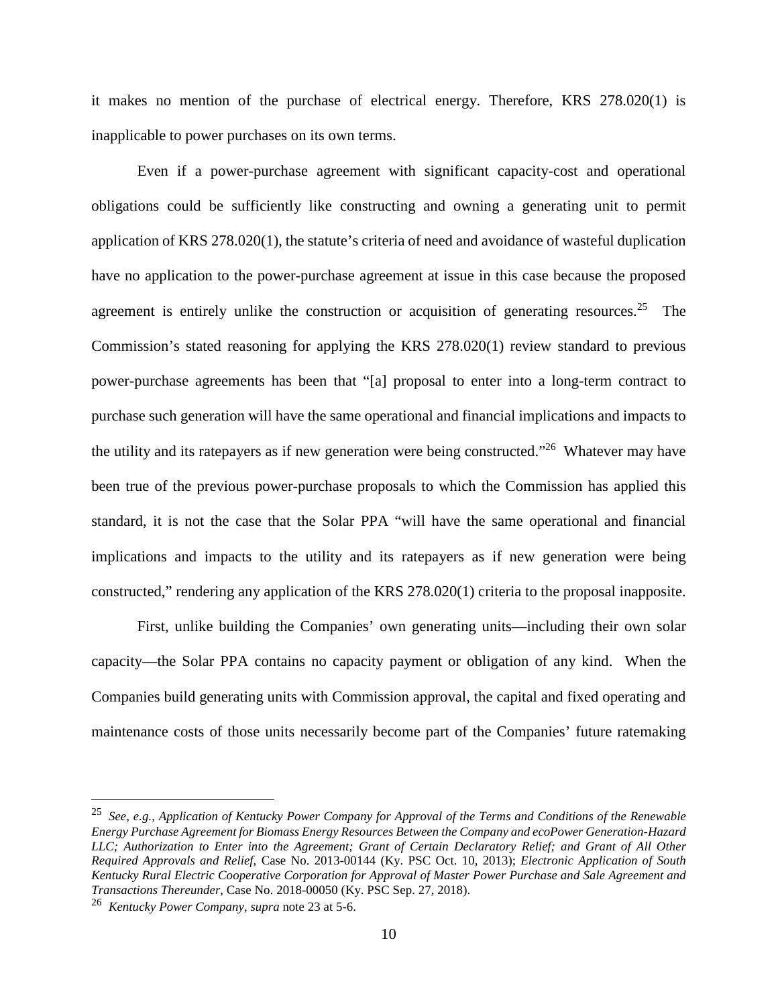it makes no mention of the purchase of electrical energy. Therefore, KRS 278.020(1) is inapplicable to power purchases on its own terms.

Even if a power-purchase agreement with significant capacity-cost and operational obligations could be sufficiently like constructing and owning a generating unit to permit application of KRS 278.020(1), the statute's criteria of need and avoidance of wasteful duplication have no application to the power-purchase agreement at issue in this case because the proposed agreement is entirely unlike the construction or acquisition of generating resources.<sup>25</sup> The Commission's stated reasoning for applying the KRS 278.020(1) review standard to previous power-purchase agreements has been that "[a] proposal to enter into a long-term contract to purchase such generation will have the same operational and financial implications and impacts to the utility and its ratepayers as if new generation were being constructed."<sup>26</sup> Whatever may have been true of the previous power-purchase proposals to which the Commission has applied this standard, it is not the case that the Solar PPA "will have the same operational and financial implications and impacts to the utility and its ratepayers as if new generation were being constructed," rendering any application of the KRS 278.020(1) criteria to the proposal inapposite.

First, unlike building the Companies' own generating units—including their own solar capacity—the Solar PPA contains no capacity payment or obligation of any kind. When the Companies build generating units with Commission approval, the capital and fixed operating and maintenance costs of those units necessarily become part of the Companies' future ratemaking

<sup>25</sup> *See, e.g., Application of Kentucky Power Company for Approval of the Terms and Conditions of the Renewable Energy Purchase Agreement for Biomass Energy Resources Between the Company and ecoPower Generation-Hazard LLC; Authorization to Enter into the Agreement; Grant of Certain Declaratory Relief; and Grant of All Other Required Approvals and Relief*, Case No. 2013-00144 (Ky. PSC Oct. 10, 2013); *Electronic Application of South Kentucky Rural Electric Cooperative Corporation for Approval of Master Power Purchase and Sale Agreement and Transactions Thereunder*, Case No. 2018-00050 (Ky. PSC Sep. 27, 2018).

<sup>26</sup> *Kentucky Power Company*, *supra* note 23 at 5-6.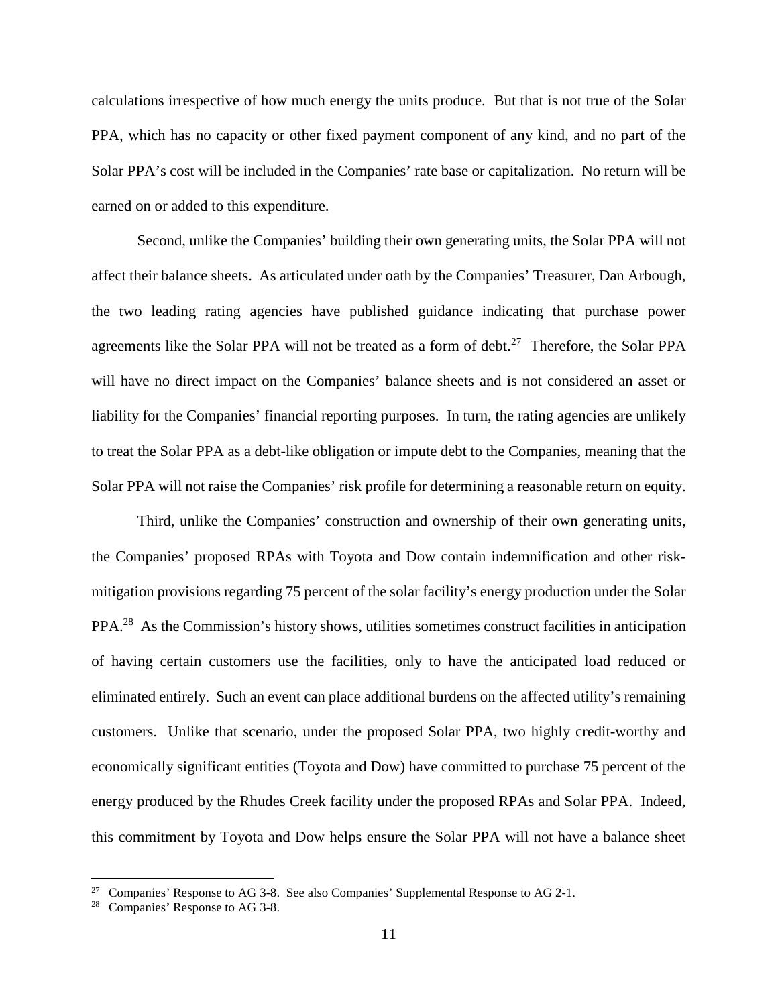calculations irrespective of how much energy the units produce. But that is not true of the Solar PPA, which has no capacity or other fixed payment component of any kind, and no part of the Solar PPA's cost will be included in the Companies' rate base or capitalization. No return will be earned on or added to this expenditure.

Second, unlike the Companies' building their own generating units, the Solar PPA will not affect their balance sheets. As articulated under oath by the Companies' Treasurer, Dan Arbough, the two leading rating agencies have published guidance indicating that purchase power agreements like the Solar PPA will not be treated as a form of debt.<sup>27</sup> Therefore, the Solar PPA will have no direct impact on the Companies' balance sheets and is not considered an asset or liability for the Companies' financial reporting purposes. In turn, the rating agencies are unlikely to treat the Solar PPA as a debt-like obligation or impute debt to the Companies, meaning that the Solar PPA will not raise the Companies' risk profile for determining a reasonable return on equity.

Third, unlike the Companies' construction and ownership of their own generating units, the Companies' proposed RPAs with Toyota and Dow contain indemnification and other riskmitigation provisions regarding 75 percent of the solar facility's energy production under the Solar PPA.<sup>28</sup> As the Commission's history shows, utilities sometimes construct facilities in anticipation of having certain customers use the facilities, only to have the anticipated load reduced or eliminated entirely. Such an event can place additional burdens on the affected utility's remaining customers. Unlike that scenario, under the proposed Solar PPA, two highly credit-worthy and economically significant entities (Toyota and Dow) have committed to purchase 75 percent of the energy produced by the Rhudes Creek facility under the proposed RPAs and Solar PPA. Indeed, this commitment by Toyota and Dow helps ensure the Solar PPA will not have a balance sheet

 $27$  Companies' Response to AG 3-8. See also Companies' Supplemental Response to AG 2-1.

Companies' Response to AG 3-8.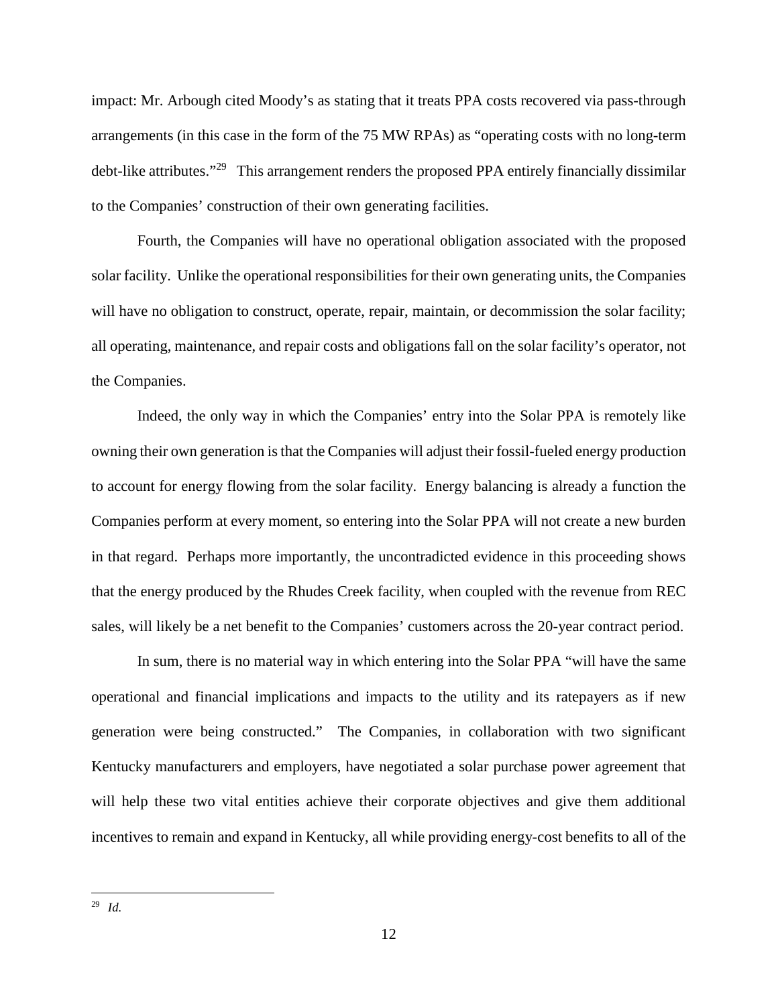impact: Mr. Arbough cited Moody's as stating that it treats PPA costs recovered via pass-through arrangements (in this case in the form of the 75 MW RPAs) as "operating costs with no long-term debt-like attributes."<sup>29</sup> This arrangement renders the proposed PPA entirely financially dissimilar to the Companies' construction of their own generating facilities.

Fourth, the Companies will have no operational obligation associated with the proposed solar facility. Unlike the operational responsibilities for their own generating units, the Companies will have no obligation to construct, operate, repair, maintain, or decommission the solar facility; all operating, maintenance, and repair costs and obligations fall on the solar facility's operator, not the Companies.

Indeed, the only way in which the Companies' entry into the Solar PPA is remotely like owning their own generation is that the Companies will adjust their fossil-fueled energy production to account for energy flowing from the solar facility. Energy balancing is already a function the Companies perform at every moment, so entering into the Solar PPA will not create a new burden in that regard. Perhaps more importantly, the uncontradicted evidence in this proceeding shows that the energy produced by the Rhudes Creek facility, when coupled with the revenue from REC sales, will likely be a net benefit to the Companies' customers across the 20-year contract period.

In sum, there is no material way in which entering into the Solar PPA "will have the same operational and financial implications and impacts to the utility and its ratepayers as if new generation were being constructed." The Companies, in collaboration with two significant Kentucky manufacturers and employers, have negotiated a solar purchase power agreement that will help these two vital entities achieve their corporate objectives and give them additional incentives to remain and expand in Kentucky, all while providing energy-cost benefits to all of the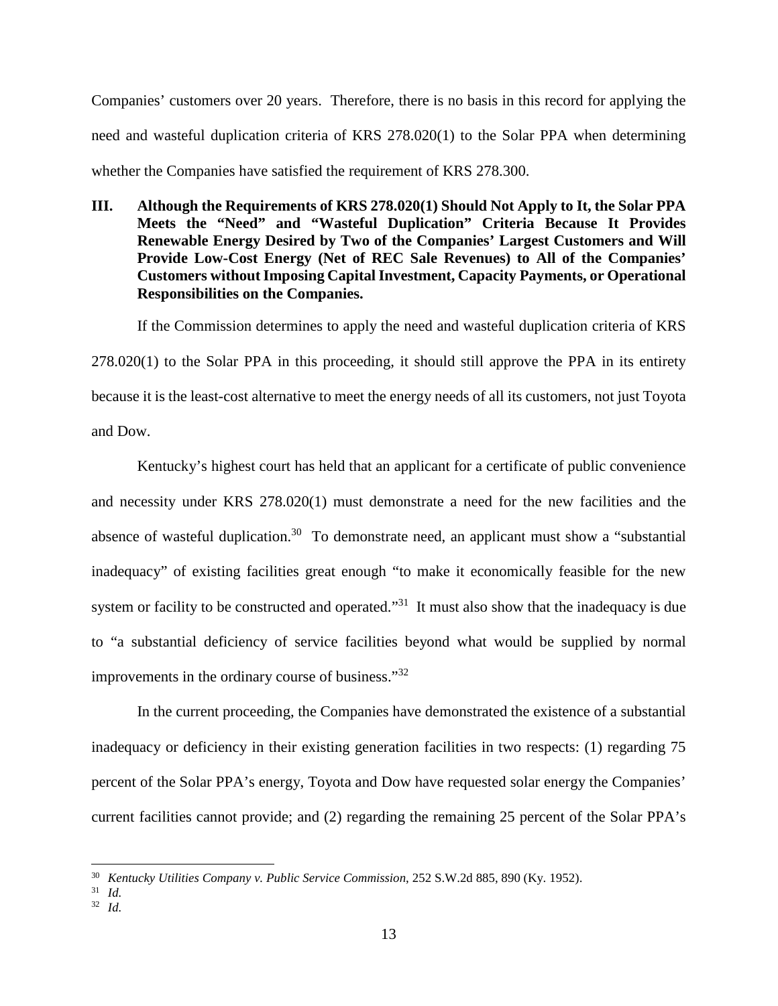Companies' customers over 20 years. Therefore, there is no basis in this record for applying the need and wasteful duplication criteria of KRS 278.020(1) to the Solar PPA when determining whether the Companies have satisfied the requirement of KRS 278.300.

**III. Although the Requirements of KRS 278.020(1) Should Not Apply to It, the Solar PPA Meets the "Need" and "Wasteful Duplication" Criteria Because It Provides Renewable Energy Desired by Two of the Companies' Largest Customers and Will Provide Low-Cost Energy (Net of REC Sale Revenues) to All of the Companies' Customers without Imposing Capital Investment, Capacity Payments, or Operational Responsibilities on the Companies.** 

If the Commission determines to apply the need and wasteful duplication criteria of KRS 278.020(1) to the Solar PPA in this proceeding, it should still approve the PPA in its entirety because it is the least-cost alternative to meet the energy needs of all its customers, not just Toyota and Dow.

Kentucky's highest court has held that an applicant for a certificate of public convenience and necessity under KRS 278.020(1) must demonstrate a need for the new facilities and the absence of wasteful duplication.<sup>30</sup> To demonstrate need, an applicant must show a "substantial" inadequacy" of existing facilities great enough "to make it economically feasible for the new system or facility to be constructed and operated."<sup>31</sup> It must also show that the inadequacy is due to "a substantial deficiency of service facilities beyond what would be supplied by normal improvements in the ordinary course of business."<sup>32</sup>

In the current proceeding, the Companies have demonstrated the existence of a substantial inadequacy or deficiency in their existing generation facilities in two respects: (1) regarding 75 percent of the Solar PPA's energy, Toyota and Dow have requested solar energy the Companies' current facilities cannot provide; and (2) regarding the remaining 25 percent of the Solar PPA's

<sup>30</sup> *Kentucky Utilities Company v. Public Service Commission*, 252 S.W.2d 885, 890 (Ky. 1952).

<sup>31</sup> *Id.*

<sup>32</sup> *Id.*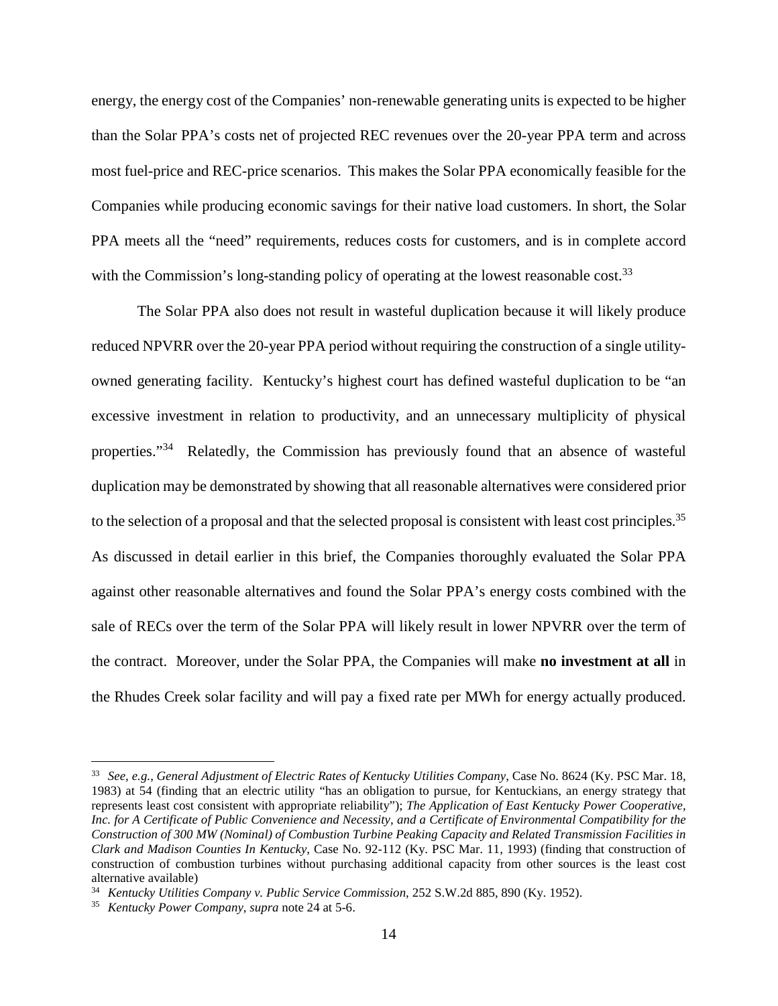energy, the energy cost of the Companies' non-renewable generating units is expected to be higher than the Solar PPA's costs net of projected REC revenues over the 20-year PPA term and across most fuel-price and REC-price scenarios. This makes the Solar PPA economically feasible for the Companies while producing economic savings for their native load customers. In short, the Solar PPA meets all the "need" requirements, reduces costs for customers, and is in complete accord with the Commission's long-standing policy of operating at the lowest reasonable cost.<sup>33</sup>

The Solar PPA also does not result in wasteful duplication because it will likely produce reduced NPVRR over the 20-year PPA period without requiring the construction of a single utilityowned generating facility. Kentucky's highest court has defined wasteful duplication to be "an excessive investment in relation to productivity, and an unnecessary multiplicity of physical properties."<sup>34</sup> Relatedly, the Commission has previously found that an absence of wasteful duplication may be demonstrated by showing that all reasonable alternatives were considered prior to the selection of a proposal and that the selected proposal is consistent with least cost principles.<sup>35</sup> As discussed in detail earlier in this brief, the Companies thoroughly evaluated the Solar PPA against other reasonable alternatives and found the Solar PPA's energy costs combined with the sale of RECs over the term of the Solar PPA will likely result in lower NPVRR over the term of the contract. Moreover, under the Solar PPA, the Companies will make **no investment at all** in the Rhudes Creek solar facility and will pay a fixed rate per MWh for energy actually produced.

<sup>33</sup> *See, e.g.*, *General Adjustment of Electric Rates of Kentucky Utilities Company*, Case No. 8624 (Ky. PSC Mar. 18, 1983) at 54 (finding that an electric utility "has an obligation to pursue, for Kentuckians, an energy strategy that represents least cost consistent with appropriate reliability"); *The Application of East Kentucky Power Cooperative, Inc. for A Certificate of Public Convenience and Necessity, and a Certificate of Environmental Compatibility for the Construction of 300 MW (Nominal) of Combustion Turbine Peaking Capacity and Related Transmission Facilities in Clark and Madison Counties In Kentucky*, Case No. 92-112 (Ky. PSC Mar. 11, 1993) (finding that construction of construction of combustion turbines without purchasing additional capacity from other sources is the least cost alternative available)

<sup>34</sup> *Kentucky Utilities Company v. Public Service Commission*, 252 S.W.2d 885, 890 (Ky. 1952).

<sup>35</sup> *Kentucky Power Company*, *supra* note 24 at 5-6.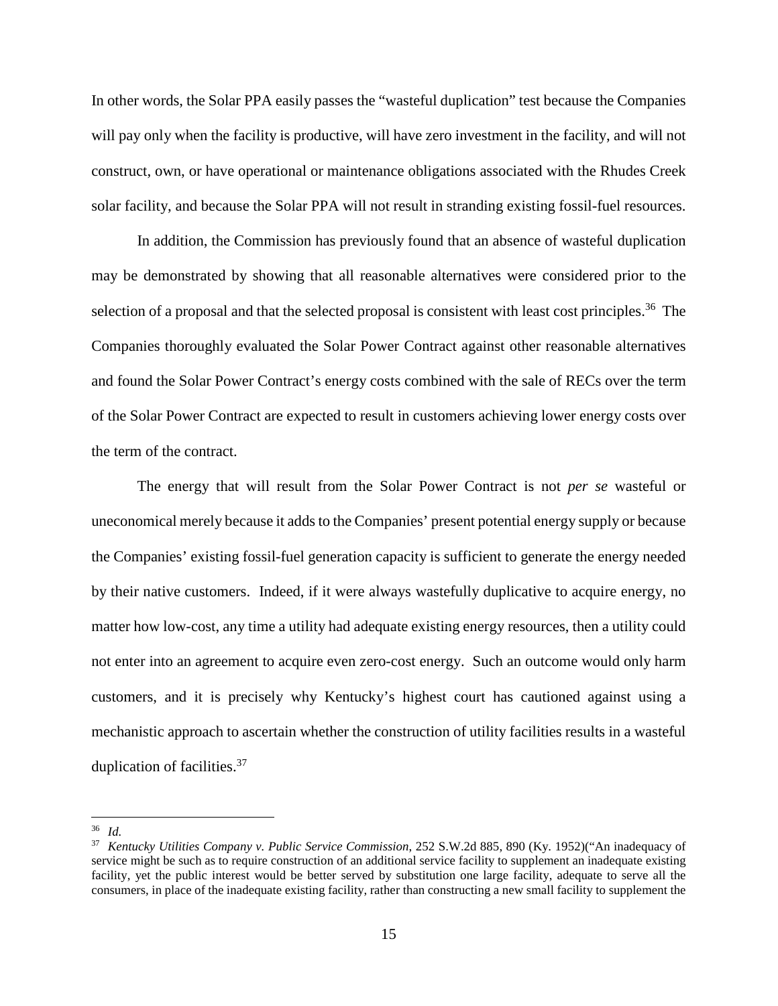In other words, the Solar PPA easily passes the "wasteful duplication" test because the Companies will pay only when the facility is productive, will have zero investment in the facility, and will not construct, own, or have operational or maintenance obligations associated with the Rhudes Creek solar facility, and because the Solar PPA will not result in stranding existing fossil-fuel resources.

In addition, the Commission has previously found that an absence of wasteful duplication may be demonstrated by showing that all reasonable alternatives were considered prior to the selection of a proposal and that the selected proposal is consistent with least cost principles.<sup>36</sup> The Companies thoroughly evaluated the Solar Power Contract against other reasonable alternatives and found the Solar Power Contract's energy costs combined with the sale of RECs over the term of the Solar Power Contract are expected to result in customers achieving lower energy costs over the term of the contract.

The energy that will result from the Solar Power Contract is not *per se* wasteful or uneconomical merely because it adds to the Companies' present potential energy supply or because the Companies' existing fossil-fuel generation capacity is sufficient to generate the energy needed by their native customers. Indeed, if it were always wastefully duplicative to acquire energy, no matter how low-cost, any time a utility had adequate existing energy resources, then a utility could not enter into an agreement to acquire even zero-cost energy. Such an outcome would only harm customers, and it is precisely why Kentucky's highest court has cautioned against using a mechanistic approach to ascertain whether the construction of utility facilities results in a wasteful duplication of facilities.<sup>37</sup>

<sup>36</sup> *Id.*

<sup>37</sup> *Kentucky Utilities Company v. Public Service Commission*, 252 S.W.2d 885, 890 (Ky. 1952)("An inadequacy of service might be such as to require construction of an additional service facility to supplement an inadequate existing facility, yet the public interest would be better served by substitution one large facility, adequate to serve all the consumers, in place of the inadequate existing facility, rather than constructing a new small facility to supplement the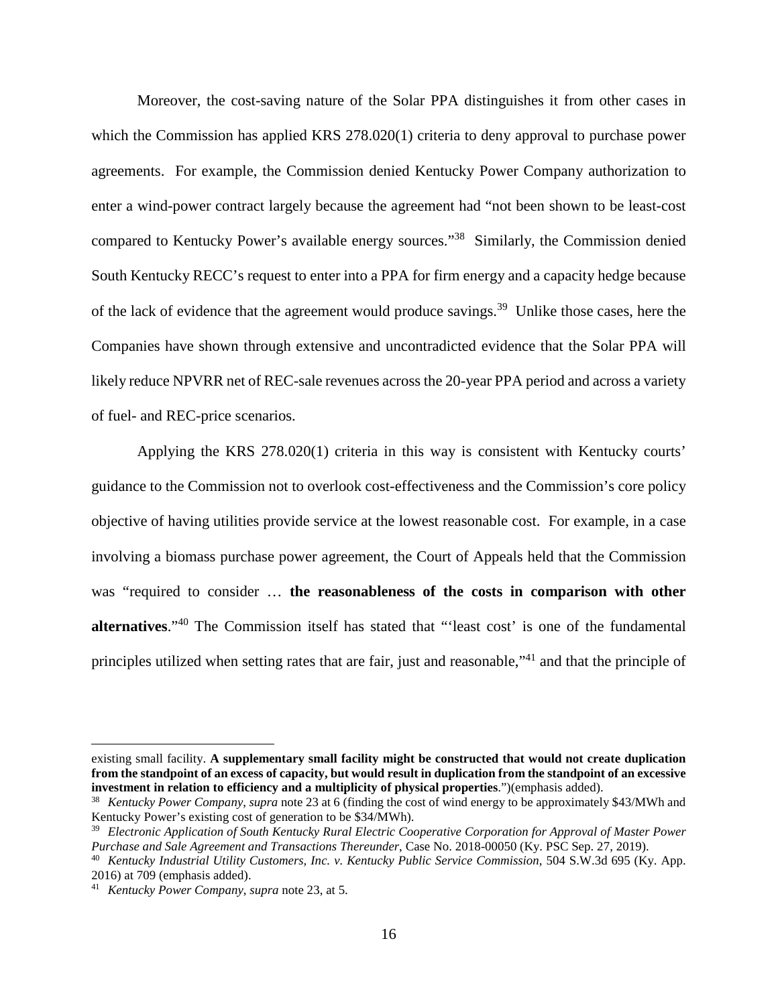Moreover, the cost-saving nature of the Solar PPA distinguishes it from other cases in which the Commission has applied KRS 278.020(1) criteria to deny approval to purchase power agreements. For example, the Commission denied Kentucky Power Company authorization to enter a wind-power contract largely because the agreement had "not been shown to be least-cost compared to Kentucky Power's available energy sources."<sup>38</sup> Similarly, the Commission denied South Kentucky RECC's request to enter into a PPA for firm energy and a capacity hedge because of the lack of evidence that the agreement would produce savings.<sup>39</sup> Unlike those cases, here the Companies have shown through extensive and uncontradicted evidence that the Solar PPA will likely reduce NPVRR net of REC-sale revenues across the 20-year PPA period and across a variety of fuel- and REC-price scenarios.

Applying the KRS 278.020(1) criteria in this way is consistent with Kentucky courts' guidance to the Commission not to overlook cost-effectiveness and the Commission's core policy objective of having utilities provide service at the lowest reasonable cost. For example, in a case involving a biomass purchase power agreement, the Court of Appeals held that the Commission was "required to consider … **the reasonableness of the costs in comparison with other alternatives**."<sup>40</sup> The Commission itself has stated that "'least cost' is one of the fundamental principles utilized when setting rates that are fair, just and reasonable,"<sup>41</sup> and that the principle of

existing small facility. **A supplementary small facility might be constructed that would not create duplication from the standpoint of an excess of capacity, but would result in duplication from the standpoint of an excessive investment in relation to efficiency and a multiplicity of physical properties**.")(emphasis added).

<sup>38</sup> *Kentucky Power Company*, *supra* note 23 at 6 (finding the cost of wind energy to be approximately \$43/MWh and Kentucky Power's existing cost of generation to be \$34/MWh).

<sup>39</sup> *Electronic Application of South Kentucky Rural Electric Cooperative Corporation for Approval of Master Power Purchase and Sale Agreement and Transactions Thereunder*, Case No. 2018-00050 (Ky. PSC Sep. 27, 2019).

<sup>40</sup> *Kentucky Industrial Utility Customers, Inc. v. Kentucky Public Service Commission*, 504 S.W.3d 695 (Ky. App. 2016) at 709 (emphasis added).

<sup>41</sup> *Kentucky Power Company*, *supra* note 23, at 5.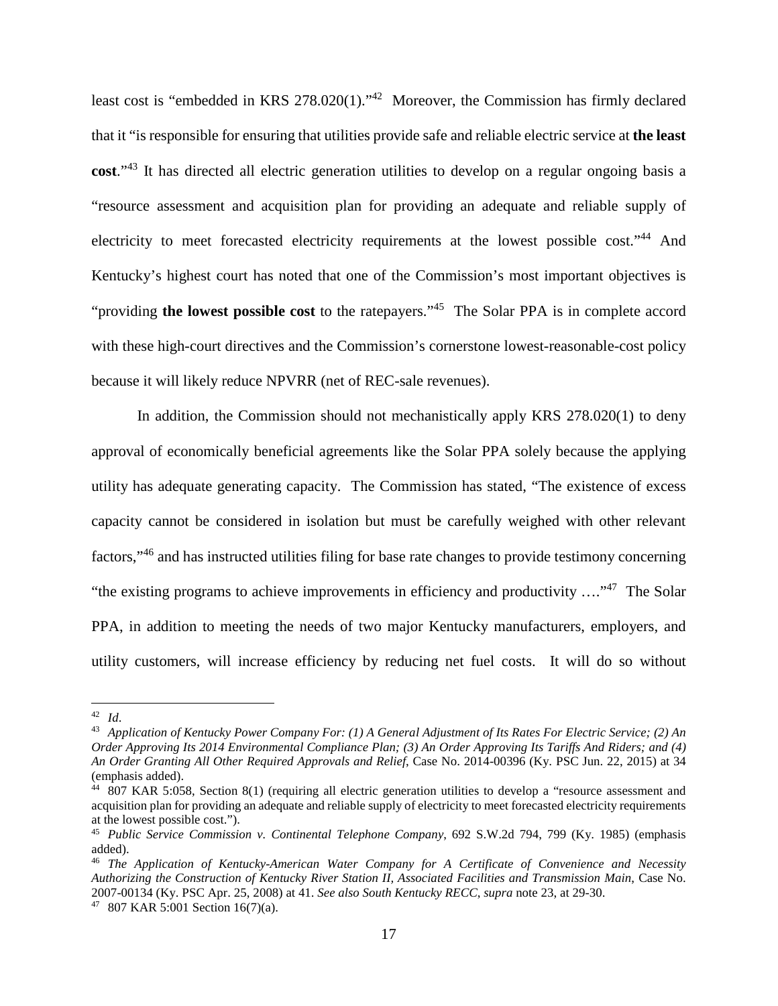least cost is "embedded in KRS 278.020(1)."<sup>42</sup> Moreover, the Commission has firmly declared that it "is responsible for ensuring that utilities provide safe and reliable electric service at **the least cost**."<sup>43</sup> It has directed all electric generation utilities to develop on a regular ongoing basis a "resource assessment and acquisition plan for providing an adequate and reliable supply of electricity to meet forecasted electricity requirements at the lowest possible cost."<sup>44</sup> And Kentucky's highest court has noted that one of the Commission's most important objectives is "providing **the lowest possible cost** to the ratepayers."<sup>45</sup> The Solar PPA is in complete accord with these high-court directives and the Commission's cornerstone lowest-reasonable-cost policy because it will likely reduce NPVRR (net of REC-sale revenues).

In addition, the Commission should not mechanistically apply KRS 278.020(1) to deny approval of economically beneficial agreements like the Solar PPA solely because the applying utility has adequate generating capacity. The Commission has stated, "The existence of excess capacity cannot be considered in isolation but must be carefully weighed with other relevant factors,"<sup>46</sup> and has instructed utilities filing for base rate changes to provide testimony concerning "the existing programs to achieve improvements in efficiency and productivity  $\ldots$ "<sup>47</sup>. The Solar PPA, in addition to meeting the needs of two major Kentucky manufacturers, employers, and utility customers, will increase efficiency by reducing net fuel costs. It will do so without

<sup>42</sup> *Id*.

<sup>43</sup> *Application of Kentucky Power Company For: (1) A General Adjustment of Its Rates For Electric Service; (2) An Order Approving Its 2014 Environmental Compliance Plan; (3) An Order Approving Its Tariffs And Riders; and (4) An Order Granting All Other Required Approvals and Relief*, Case No. 2014-00396 (Ky. PSC Jun. 22, 2015) at 34 (emphasis added).

<sup>&</sup>lt;sup>44</sup> 807 KAR 5:058, Section 8(1) (requiring all electric generation utilities to develop a "resource assessment and acquisition plan for providing an adequate and reliable supply of electricity to meet forecasted electricity requirements at the lowest possible cost.").

<sup>45</sup> *Public Service Commission v. Continental Telephone Company*, 692 S.W.2d 794, 799 (Ky. 1985) (emphasis added).

<sup>46</sup> *The Application of Kentucky-American Water Company for A Certificate of Convenience and Necessity Authorizing the Construction of Kentucky River Station II, Associated Facilities and Transmission Main*, Case No. 2007-00134 (Ky. PSC Apr. 25, 2008) at 41. *See also South Kentucky RECC*, *supra* note 23, at 29-30.

<sup>47</sup> 807 KAR 5:001 Section 16(7)(a).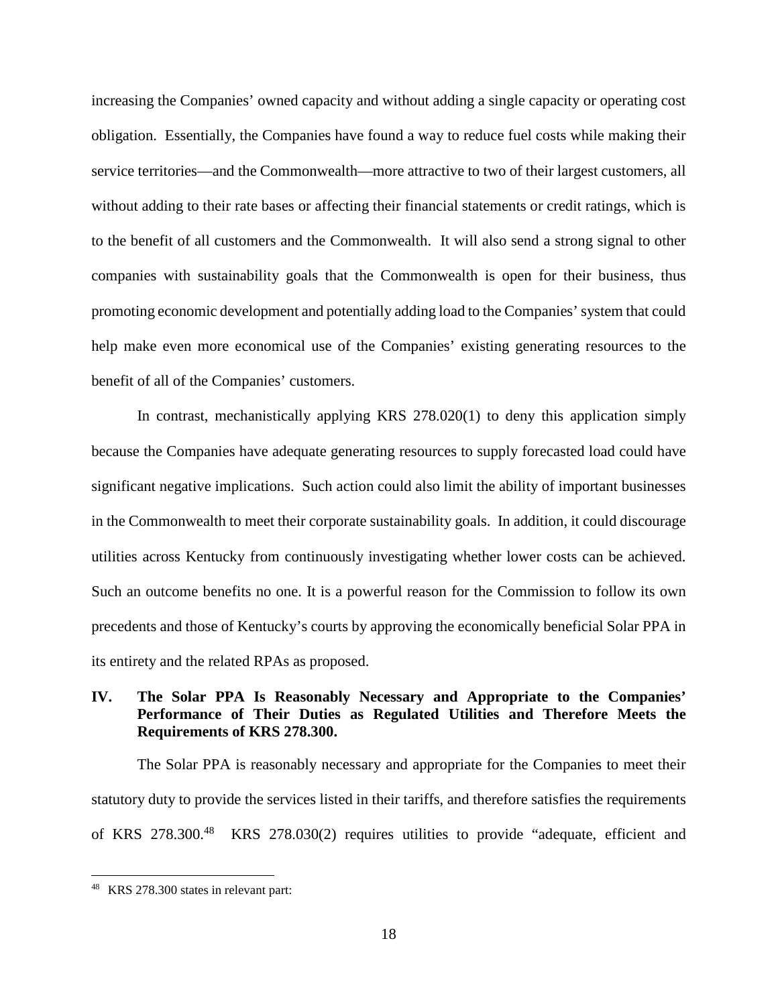increasing the Companies' owned capacity and without adding a single capacity or operating cost obligation. Essentially, the Companies have found a way to reduce fuel costs while making their service territories—and the Commonwealth—more attractive to two of their largest customers, all without adding to their rate bases or affecting their financial statements or credit ratings, which is to the benefit of all customers and the Commonwealth. It will also send a strong signal to other companies with sustainability goals that the Commonwealth is open for their business, thus promoting economic development and potentially adding load to the Companies' system that could help make even more economical use of the Companies' existing generating resources to the benefit of all of the Companies' customers.

In contrast, mechanistically applying KRS 278.020(1) to deny this application simply because the Companies have adequate generating resources to supply forecasted load could have significant negative implications. Such action could also limit the ability of important businesses in the Commonwealth to meet their corporate sustainability goals. In addition, it could discourage utilities across Kentucky from continuously investigating whether lower costs can be achieved. Such an outcome benefits no one. It is a powerful reason for the Commission to follow its own precedents and those of Kentucky's courts by approving the economically beneficial Solar PPA in its entirety and the related RPAs as proposed.

### **IV. The Solar PPA Is Reasonably Necessary and Appropriate to the Companies' Performance of Their Duties as Regulated Utilities and Therefore Meets the Requirements of KRS 278.300.**

The Solar PPA is reasonably necessary and appropriate for the Companies to meet their statutory duty to provide the services listed in their tariffs, and therefore satisfies the requirements of KRS 278.300.<sup>48</sup> KRS 278.030(2) requires utilities to provide "adequate, efficient and

<sup>48</sup> KRS 278.300 states in relevant part: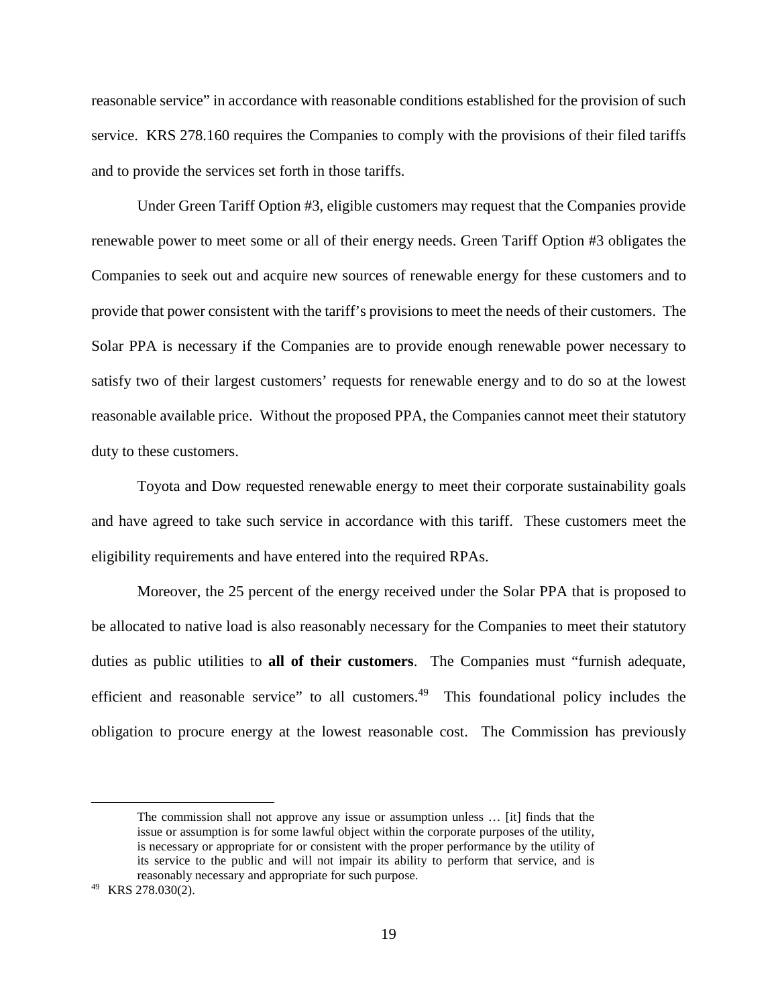reasonable service" in accordance with reasonable conditions established for the provision of such service. KRS 278.160 requires the Companies to comply with the provisions of their filed tariffs and to provide the services set forth in those tariffs.

Under Green Tariff Option #3, eligible customers may request that the Companies provide renewable power to meet some or all of their energy needs. Green Tariff Option #3 obligates the Companies to seek out and acquire new sources of renewable energy for these customers and to provide that power consistent with the tariff's provisions to meet the needs of their customers. The Solar PPA is necessary if the Companies are to provide enough renewable power necessary to satisfy two of their largest customers' requests for renewable energy and to do so at the lowest reasonable available price. Without the proposed PPA, the Companies cannot meet their statutory duty to these customers.

Toyota and Dow requested renewable energy to meet their corporate sustainability goals and have agreed to take such service in accordance with this tariff. These customers meet the eligibility requirements and have entered into the required RPAs.

Moreover, the 25 percent of the energy received under the Solar PPA that is proposed to be allocated to native load is also reasonably necessary for the Companies to meet their statutory duties as public utilities to **all of their customers**. The Companies must "furnish adequate, efficient and reasonable service" to all customers.<sup>49</sup> This foundational policy includes the obligation to procure energy at the lowest reasonable cost. The Commission has previously

The commission shall not approve any issue or assumption unless … [it] finds that the issue or assumption is for some lawful object within the corporate purposes of the utility, is necessary or appropriate for or consistent with the proper performance by the utility of its service to the public and will not impair its ability to perform that service, and is reasonably necessary and appropriate for such purpose.

<sup>49</sup> KRS 278.030(2).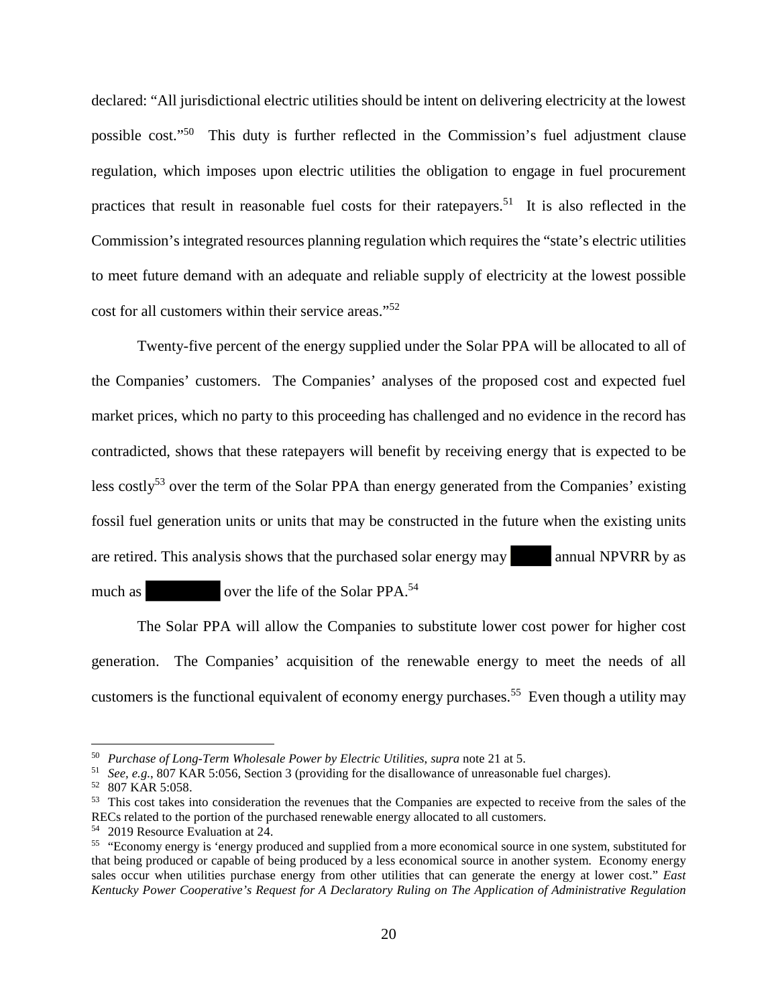declared: "All jurisdictional electric utilities should be intent on delivering electricity at the lowest possible cost."<sup>50</sup> This duty is further reflected in the Commission's fuel adjustment clause regulation, which imposes upon electric utilities the obligation to engage in fuel procurement practices that result in reasonable fuel costs for their ratepayers.<sup>51</sup> It is also reflected in the Commission's integrated resources planning regulation which requires the "state's electric utilities to meet future demand with an adequate and reliable supply of electricity at the lowest possible cost for all customers within their service areas."<sup>52</sup>

Twenty-five percent of the energy supplied under the Solar PPA will be allocated to all of the Companies' customers. The Companies' analyses of the proposed cost and expected fuel market prices, which no party to this proceeding has challenged and no evidence in the record has contradicted, shows that these ratepayers will benefit by receiving energy that is expected to be less costly<sup>53</sup> over the term of the Solar PPA than energy generated from the Companies' existing fossil fuel generation units or units that may be constructed in the future when the existing units are retired. This analysis shows that the purchased solar energy may annual NPVRR by as much as over the life of the Solar PPA.<sup>54</sup>

The Solar PPA will allow the Companies to substitute lower cost power for higher cost generation. The Companies' acquisition of the renewable energy to meet the needs of all customers is the functional equivalent of economy energy purchases.<sup>55</sup> Even though a utility may

<sup>50</sup> *Purchase of Long-Term Wholesale Power by Electric Utilities*, *supra* note 21 at 5.

<sup>51</sup> *See, e.g.*, 807 KAR 5:056, Section 3 (providing for the disallowance of unreasonable fuel charges).

<sup>52</sup> 807 KAR 5:058.

<sup>&</sup>lt;sup>53</sup> This cost takes into consideration the revenues that the Companies are expected to receive from the sales of the RECs related to the portion of the purchased renewable energy allocated to all customers.

<sup>54</sup> 2019 Resource Evaluation at 24.

<sup>&</sup>lt;sup>55</sup> "Economy energy is 'energy produced and supplied from a more economical source in one system, substituted for that being produced or capable of being produced by a less economical source in another system. Economy energy sales occur when utilities purchase energy from other utilities that can generate the energy at lower cost." *East Kentucky Power Cooperative's Request for A Declaratory Ruling on The Application of Administrative Regulation*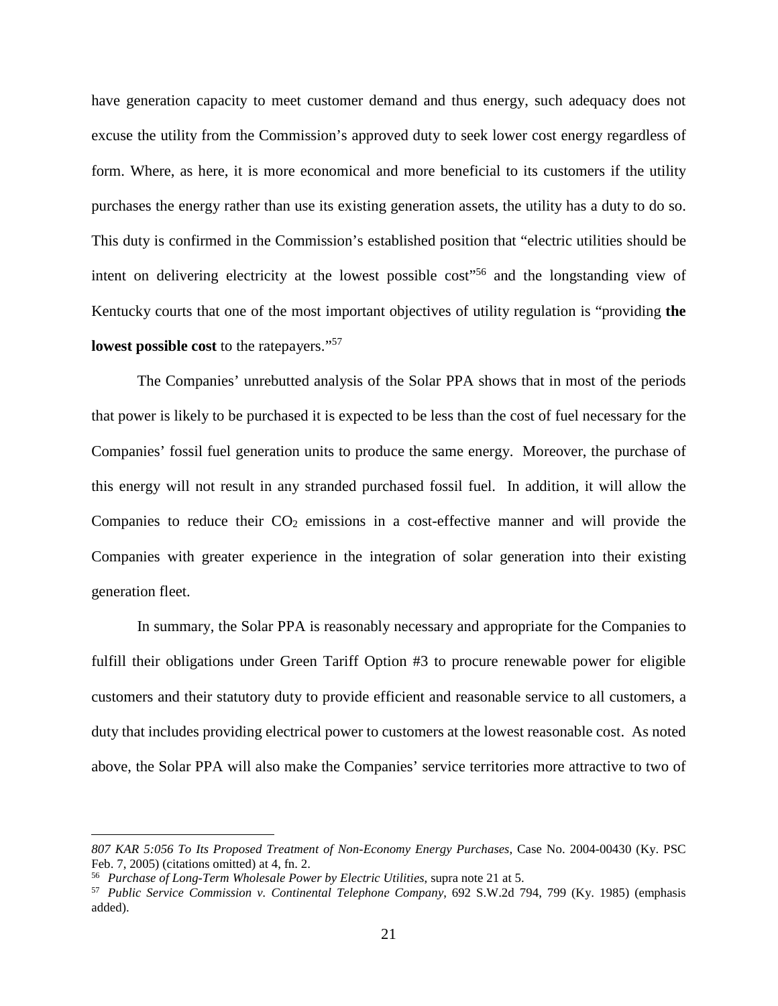have generation capacity to meet customer demand and thus energy, such adequacy does not excuse the utility from the Commission's approved duty to seek lower cost energy regardless of form. Where, as here, it is more economical and more beneficial to its customers if the utility purchases the energy rather than use its existing generation assets, the utility has a duty to do so. This duty is confirmed in the Commission's established position that "electric utilities should be intent on delivering electricity at the lowest possible cost"<sup>56</sup> and the longstanding view of Kentucky courts that one of the most important objectives of utility regulation is "providing **the lowest possible cost** to the ratepayers."<sup>57</sup>

The Companies' unrebutted analysis of the Solar PPA shows that in most of the periods that power is likely to be purchased it is expected to be less than the cost of fuel necessary for the Companies' fossil fuel generation units to produce the same energy. Moreover, the purchase of this energy will not result in any stranded purchased fossil fuel. In addition, it will allow the Companies to reduce their  $CO<sub>2</sub>$  emissions in a cost-effective manner and will provide the Companies with greater experience in the integration of solar generation into their existing generation fleet.

In summary, the Solar PPA is reasonably necessary and appropriate for the Companies to fulfill their obligations under Green Tariff Option #3 to procure renewable power for eligible customers and their statutory duty to provide efficient and reasonable service to all customers, a duty that includes providing electrical power to customers at the lowest reasonable cost. As noted above, the Solar PPA will also make the Companies' service territories more attractive to two of

*<sup>807</sup> KAR 5:056 To Its Proposed Treatment of Non-Economy Energy Purchases*, Case No. 2004-00430 (Ky. PSC Feb. 7, 2005) (citations omitted) at 4, fn. 2.

<sup>56</sup> *Purchase of Long-Term Wholesale Power by Electric Utilities*, supra note 21 at 5.

<sup>57</sup> *Public Service Commission v. Continental Telephone Company*, 692 S.W.2d 794, 799 (Ky. 1985) (emphasis added).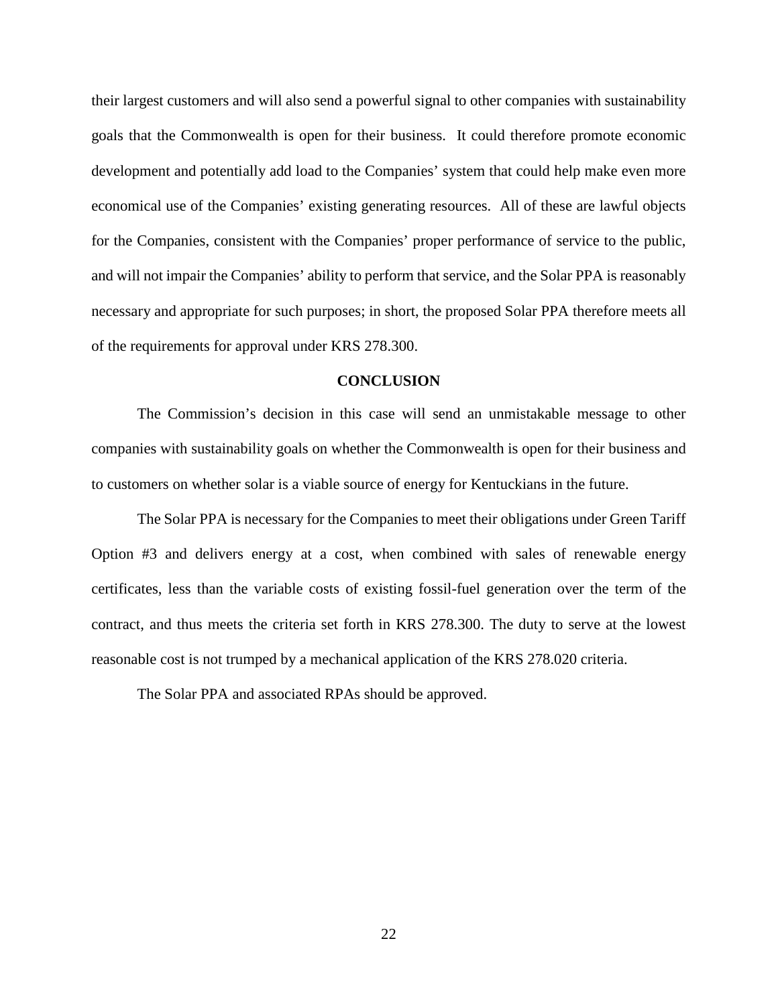their largest customers and will also send a powerful signal to other companies with sustainability goals that the Commonwealth is open for their business. It could therefore promote economic development and potentially add load to the Companies' system that could help make even more economical use of the Companies' existing generating resources. All of these are lawful objects for the Companies, consistent with the Companies' proper performance of service to the public, and will not impair the Companies' ability to perform that service, and the Solar PPA is reasonably necessary and appropriate for such purposes; in short, the proposed Solar PPA therefore meets all of the requirements for approval under KRS 278.300.

#### **CONCLUSION**

The Commission's decision in this case will send an unmistakable message to other companies with sustainability goals on whether the Commonwealth is open for their business and to customers on whether solar is a viable source of energy for Kentuckians in the future.

The Solar PPA is necessary for the Companies to meet their obligations under Green Tariff Option #3 and delivers energy at a cost, when combined with sales of renewable energy certificates, less than the variable costs of existing fossil-fuel generation over the term of the contract, and thus meets the criteria set forth in KRS 278.300. The duty to serve at the lowest reasonable cost is not trumped by a mechanical application of the KRS 278.020 criteria.

The Solar PPA and associated RPAs should be approved.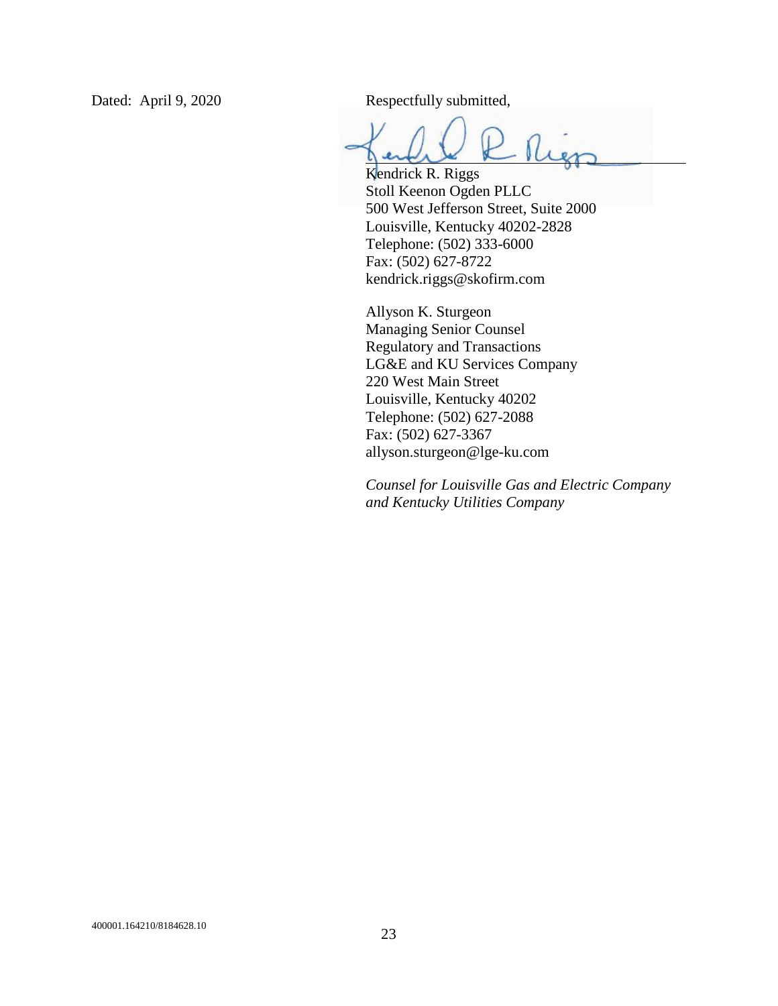Dated: April 9, 2020 Respectfully submitted,

Kendrick R. Riggs Stoll Keenon Ogden PLLC 500 West Jefferson Street, Suite 2000 Louisville, Kentucky 40202-2828 Telephone: (502) 333-6000 Fax: (502) 627-8722 kendrick.riggs@skofirm.com

Allyson K. Sturgeon Managing Senior Counsel Regulatory and Transactions LG&E and KU Services Company 220 West Main Street Louisville, Kentucky 40202 Telephone: (502) 627-2088 Fax: (502) 627-3367 allyson.sturgeon@lge-ku.com

*Counsel for Louisville Gas and Electric Company and Kentucky Utilities Company*